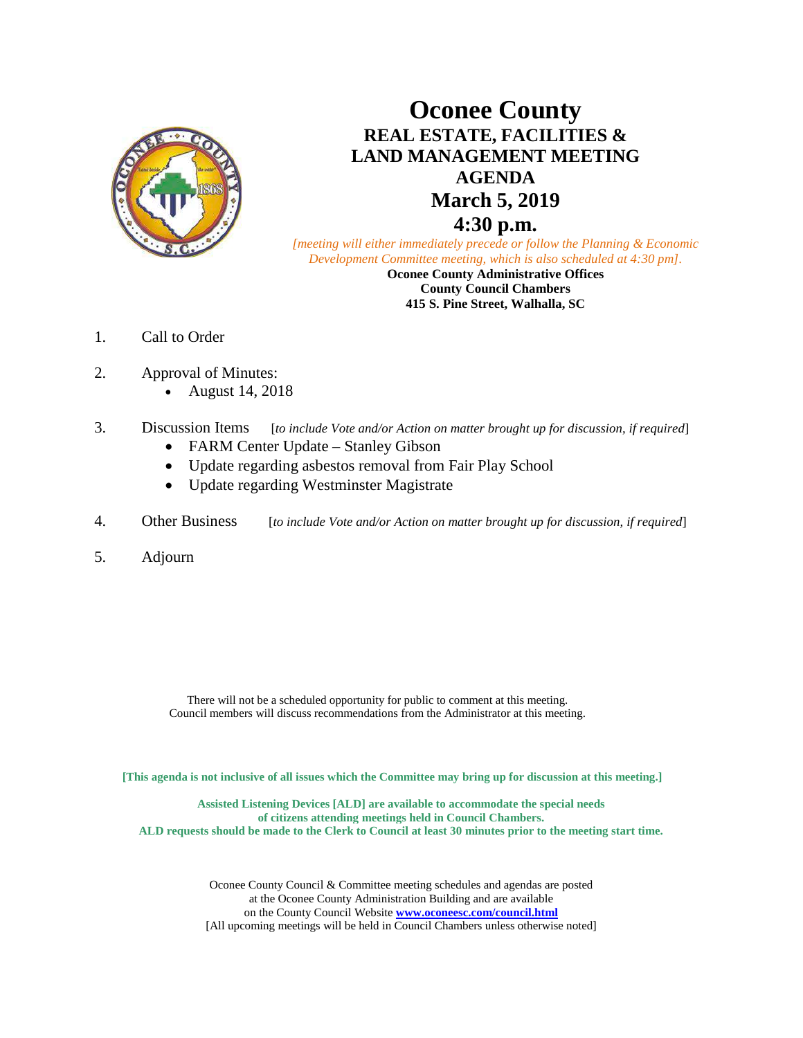

# **Oconee County REAL ESTATE, FACILITIES & LAND MANAGEMENT MEETING AGENDA March 5, 2019 4:30 p.m.**

*[meeting will either immediately precede or follow the Planning & Economic Development Committee meeting, which is also scheduled at 4:30 pm].*

**Oconee County Administrative Offices County Council Chambers 415 S. Pine Street, Walhalla, SC**

- 1. Call to Order
- 2. Approval of Minutes:
	- August 14, 2018
- 3. Discussion Items [*to include Vote and/or Action on matter brought up for discussion, if required*]
	- FARM Center Update Stanley Gibson
	- Update regarding asbestos removal from Fair Play School
	- Update regarding Westminster Magistrate
- 4. Other Business [*to include Vote and/or Action on matter brought up for discussion, if required*]
- 5. Adjourn

There will not be a scheduled opportunity for public to comment at this meeting. Council members will discuss recommendations from the Administrator at this meeting.

**[This agenda is not inclusive of all issues which the Committee may bring up for discussion at this meeting.]**

**Assisted Listening Devices [ALD] are available to accommodate the special needs of citizens attending meetings held in Council Chambers. ALD requests should be made to the Clerk to Council at least 30 minutes prior to the meeting start time.**

> Oconee County Council & Committee meeting schedules and agendas are posted at the Oconee County Administration Building and are available on the County Council Website **[www.oconeesc.com/council.html](http://www.oconeesc.com/council.html)** [All upcoming meetings will be held in Council Chambers unless otherwise noted]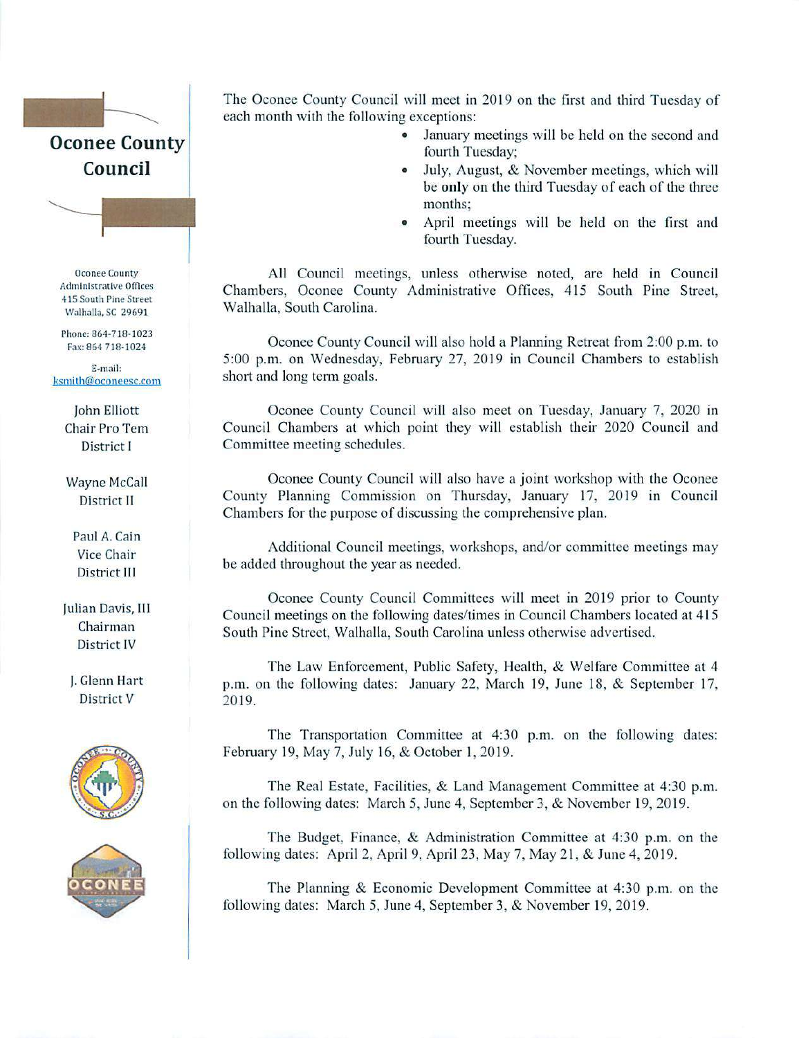# **Oconee County** Council

**Oconee County Administrative Offices** 415 South Pine Street Walhalla, SC 29691

Phone: 864-718-1023 Fax: 864 718-1024

E-mail: ksmith@oconeesc.com

> John Elliott Chair Pro Tem District I

**Wayne McCall** District II

Paul A. Cain Vice Chair District III

Julian Davis, III Chairman District IV

J. Glenn Hart District V





The Oconee County Council will meet in 2019 on the first and third Tuesday of each month with the following exceptions:

- January meetings will be held on the second and  $\bullet$ fourth Tuesday:
- July, August, & November meetings, which will  $\bullet$ be only on the third Tuesday of each of the three months:
- April meetings will be held on the first and fourth Tuesday.

All Council meetings, unless otherwise noted, are held in Council Chambers, Oconee County Administrative Offices, 415 South Pine Street, Walhalla, South Carolina.

Oconee County Council will also hold a Planning Retreat from 2:00 p.m. to 5:00 p.m. on Wednesday, February 27, 2019 in Council Chambers to establish short and long term goals.

Oconee County Council will also meet on Tuesday, January 7, 2020 in Council Chambers at which point they will establish their 2020 Council and Committee meeting schedules.

Oconee County Council will also have a joint workshop with the Oconee County Planning Commission on Thursday, January 17, 2019 in Council Chambers for the purpose of discussing the comprehensive plan.

Additional Council meetings, workshops, and/or committee meetings may be added throughout the year as needed.

Oconee County Council Committees will meet in 2019 prior to County Council meetings on the following dates/times in Council Chambers located at 415 South Pine Street, Walhalla, South Carolina unless otherwise advertised.

The Law Enforcement, Public Safety, Health, & Welfare Committee at 4 p.m. on the following dates: January 22, March 19, June 18, & September 17, 2019.

The Transportation Committee at 4:30 p.m. on the following dates: February 19, May 7, July 16, & October 1, 2019.

The Real Estate, Facilities, & Land Management Committee at 4:30 p.m. on the following dates: March 5, June 4, September 3, & November 19, 2019.

The Budget, Finance, & Administration Committee at 4:30 p.m. on the following dates: April 2, April 9, April 23, May 7, May 21, & June 4, 2019.

The Planning & Economic Development Committee at 4:30 p.m. on the following dates: March 5, June 4, September 3, & November 19, 2019.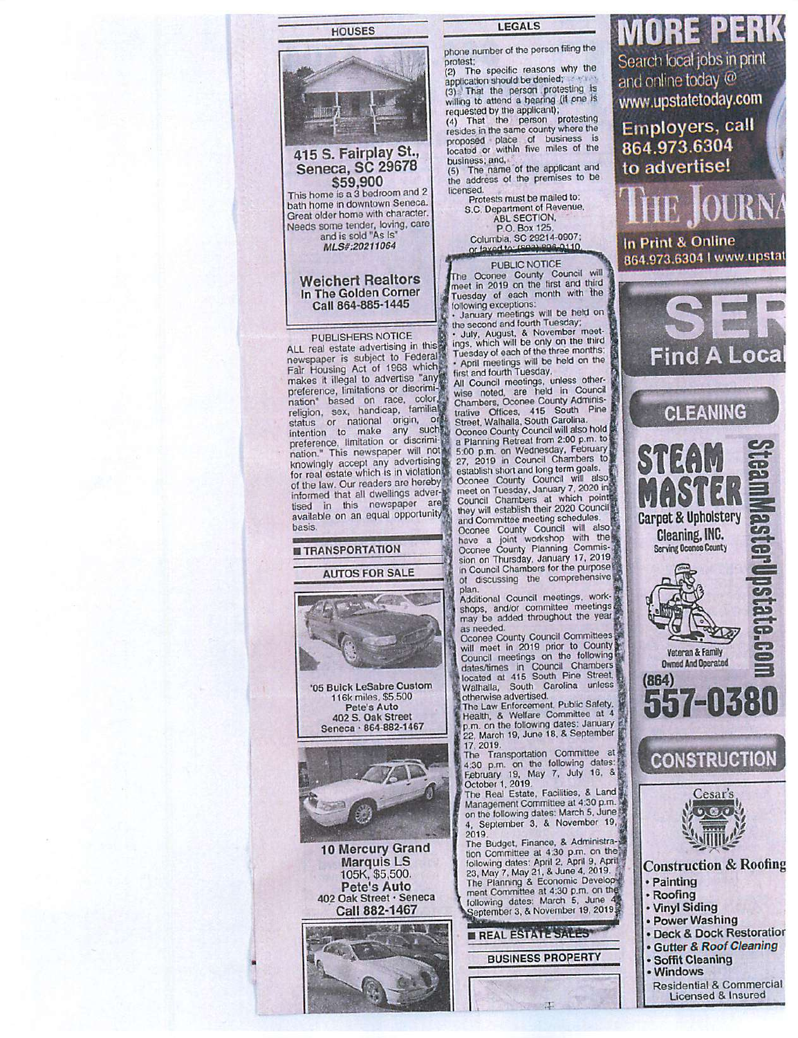